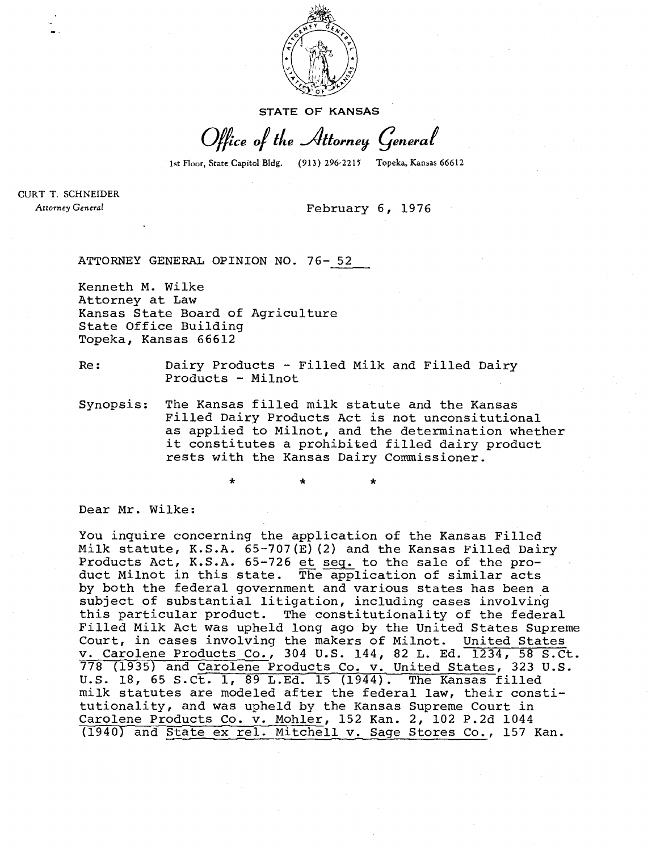

**STATE OF KANSAS** 

Office of the Attorney General

1st Floor, State Capitol Bldg. (913) 296-2215 Topeka, Kansas 66612

CURT T. SCHNEIDER Attorney General

## February 6, 1976

ATTORNEY GENERAL OPINION NO. 76- 52

Kenneth M. Wilke Attorney at Law Kansas State Board of Agriculture State Office Building Topeka, Kansas 66612

Re: Dairy Products - Filled Milk and Filled Dairy Products - Milnot

Synopsis: The Kansas filled milk statute and the Kansas Filled Dairy Products Act is not unconsitutional as applied to Milnot, and the determination whether it constitutes a prohibited filled dairy product rests with the Kansas Dairy Commissioner.

Dear Mr. Wilke:

You inquire concerning the application of the Kansas Filled Milk statute, K.S.A. 65-707(E)(2) and the Kansas Filled Dairy Products Act, K.S.A. 65-726 et seq. to the sale of the product Milnot in this state. The application of similar acts by both the federal government and various states has been a subject of substantial litigation, including cases involving this particular product. The constitutionality of the federal Filled Milk Act was upheld long ago by the United States Supreme Court, in cases involving the makers of Milnot. United States v. Carolene Products Co., 304 U.S. 144, 82 L. Ed. 1234, 58 S.Ct. 778 (1935) and Carolene Products Co. v. United States, 323 U.S. U.S. 18, 65 S.Ct. 1, 89 L.Ed. 15 (1944). The Kansas filled milk statutes are modeled after the federal law, their constitutionality, and was upheld by the Kansas Supreme Court in Carolene Products Co. v. Mohler, 152 Kan. 2, 102 P.2d 1044 (1940) and State ex rel. Mitchell v. Sage Stores Co., 157 Kan.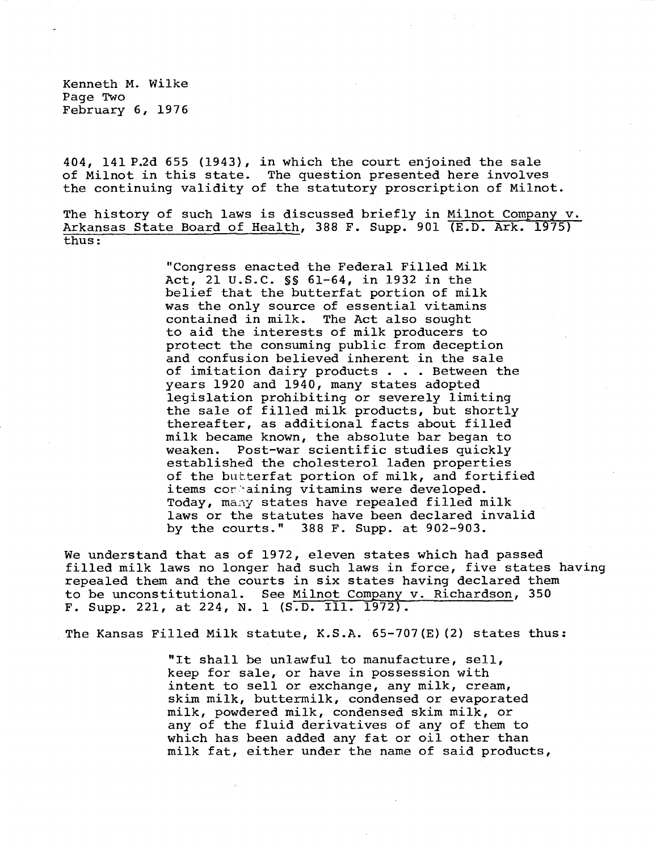Kenneth M. Wilke Page Two February 6, 1976

404, 141 P.2d 655 (1943), in which the court enjoined the sale of Milnot in this state. The question presented here involves the continuing validity of the statutory proscription of Milnot.

The history of such laws is discussed briefly in Milnot Company v. Arkansas State Board of Health, 388 F. Supp. 901 (E.D. Ark. 1975) thus:

> "Congress enacted the Federal Filled Milk Act, 21 U.S.C. §§ 61-64, in 1932 in the belief that the butterfat portion of milk was the only source of essential vitamins<br>contained in milk. The Act also sought The Act also sought to aid the interests of milk producers to protect the consuming public from deception and confusion believed inherent in the sale of imitation dairy products . . . Between the years 1920 and 1940, many states adopted legislation prohibiting or severely limiting the sale of filled milk products, but shortly thereafter, as additional facts about filled milk became known, the absolute bar began to weaken. Post-war scientific studies quickly established the cholesterol laden properties of the butterfat portion of milk, and fortified items containing vitamins were developed. Today, many states have repealed filled milk laws or the statutes have been declared invalid by the courts." 388 F. Supp. at 902-903.

We understand that as of 1972, eleven states which had passed filled milk laws no longer had such laws in force, five states having repealed them and the courts in six states having declared them to be unconstitutional. See Milnot Company v. Richardson, 350 F. Supp. 221, at 224, N. 1 (S.D. Ill. 1972).

The Kansas Filled Milk statute, K.S.A. 65-707(E)(2) states thus:

"It shall be unlawful to manufacture, sell, keep for sale, or have in possession with intent to sell or exchange, any milk, cream, skim milk, buttermilk, condensed or evaporated milk, powdered milk, condensed skim milk, or any of the fluid derivatives of any of them to which has been added any fat or oil other than milk fat, either under the name of said products,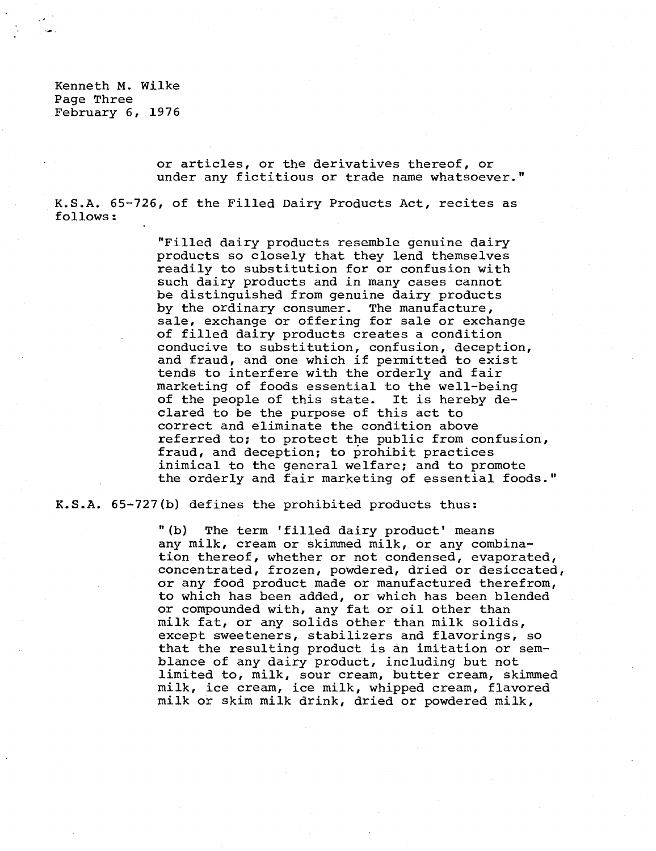Kenneth M. Wilke Page Three February 6, 1976

> or articles, or the derivatives thereof, or under any fictitious or trade name whatsoever."

K.S.A. 65-726, of the Filled Dairy Products Act, recites as follows:

> "Filled dairy products resemble genuine dairy products so closely that they lend themselves readily to substitution for or confusion with such dairy products and in many cases cannot be distinguished from genuine dairy products by the ordinary consumer. The manufacture, sale, exchange or offering for sale or exchange of filled dairy products creates a condition conducive to substitution, confusion, deception, and fraud, and one which if permitted to exist tends to interfere with the orderly and fair marketing of foods essential to the well-being of the people of this state. It is hereby declared to be the purpose of this act to correct and eliminate the condition above referred to; to protect the public from confusion, fraud, and deception; to prohibit practices inimical to the general welfare; and to promote the orderly and fair marketing of essential foods."

K.S.A. 65-727(b) defines the prohibited products thus:

"(b) The term 'filled dairy product' means any milk, cream or skimmed milk, or any combination thereof, whether or not condensed, evaporated, concentrated, frozen, powdered, dried or desiccated, or any food product made or manufactured therefrom, to which has been added, or which has been blended or compounded with, any fat or oil other than milk fat, or any solids other than milk solids, except sweeteners, stabilizers and flavorings, so that the resulting product is an imitation or semblance of any dairy product, including but not limited to, milk, sour cream, butter cream, skimmed milk, ice cream, ice milk, whipped cream, flavored milk or skim milk drink, dried or powdered milk,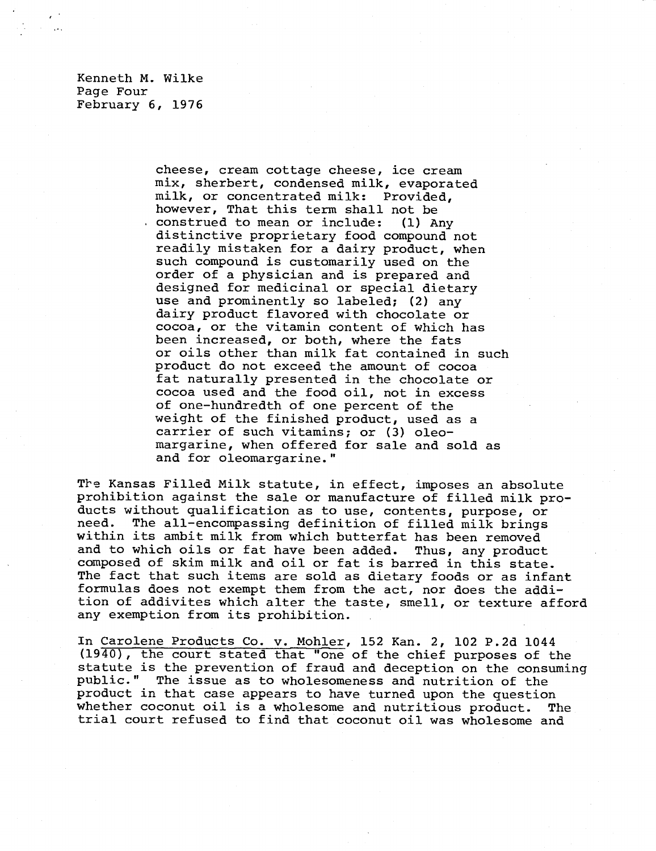Kenneth M. Wilke Page Four February 6, 1976

> cheese, cream cottage cheese, ice cream mix, sherbert, condensed milk, evaporated milk, or concentrated milk: Provided, however, That this term shall not be construed to mean or include: (1) Any distinctive proprietary food compound not readily mistaken for a dairy product, when such compound is customarily used on the order of a physician and is prepared and designed for medicinal or special dietary use and prominently so labeled; (2) any dairy product flavored with chocolate or cocoa, or the vitamin content of which has been increased, or both, where the fats or oils other than milk fat contained in such product do not exceed the amount of cocoa fat naturally presented in the chocolate or cocoa used and the food oil, not in excess of one-hundredth of one percent of the weight of the finished product, used as a carrier of such vitamins; or (3) oleomargarine, when offered for sale and sold as and for oleomargarine."

The Kansas Filled Milk statute, in effect, imposes an absolute prohibition against the sale or manufacture of filled milk products without qualification as to use, contents, purpose, or need. The all-encompassing definition of filled milk brings within its ambit milk from which butterfat has been removed and to which oils or fat have been added. Thus, any product composed of skim milk and oil or fat is barred in this state. The fact that such items are sold as dietary foods or as infant formulas does not exempt them from the act, nor does the addition of addivites which alter the taste, smell, or texture afford any exemption from its prohibition.

In Carolene Products Co. v. Mohler, 152 Kan. 2, 102 P.2d 1044 (1940), the court stated that "one of the chief purposes of the statute is the prevention of fraud and deception on the consuming public." The issue as to wholesomeness and nutrition of the product in that case appears to have turned upon the question whether coconut oil is a wholesome and nutritious product. The trial court refused to find that coconut oil was wholesome and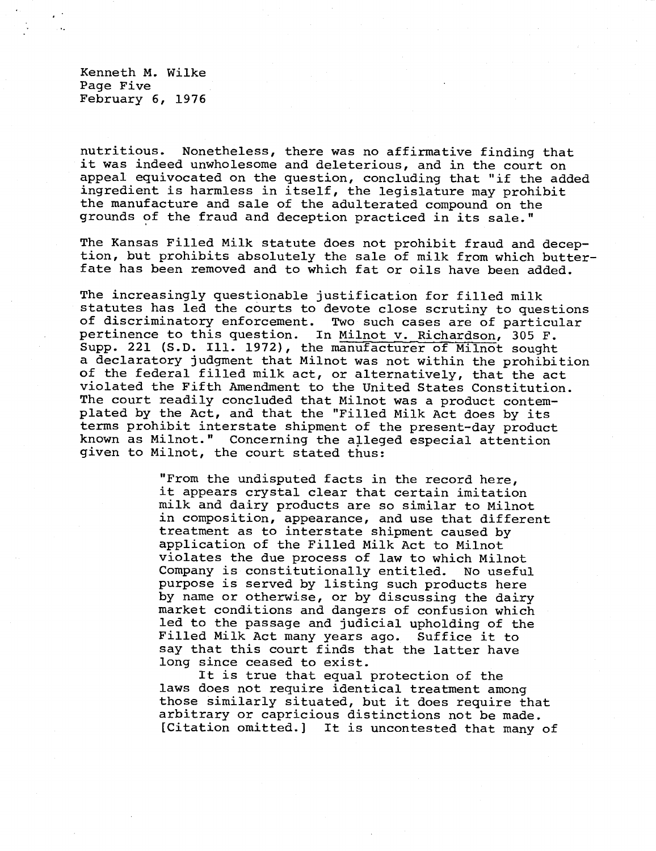Kenneth M. Wilke Page Five February 6, 1976

nutritious. Nonetheless, there was no affirmative finding that it was indeed unwholesome and deleterious, and in the court on appeal equivocated on the question, concluding that "if the added ingredient is harmless in itself, the legislature may prohibit the manufacture and sale of the adulterated compound on the grounds of the fraud and deception practiced in its sale."

The Kansas Filled Milk statute does not prohibit fraud and deception, but prohibits absolutely the sale of milk from which butter fate has been removed and to which fat or oils have been added.

The increasingly questionable justification for filled milk statutes has led the courts to devote close scrutiny to questions of discriminatory enforcement. Two such cases are of particular pertinence to this question. In Milnot v. Richardson, 305 F. Supp. 221 (S.D. Ill. 1972), the manufacturer of Milnot sought a declaratory judgment that Milnot was not within the prohibition of the federal filled milk act, or alternatively, that the act violated the Fifth Amendment to the United States Constitution. The court readily concluded that Milnot was a product contemplated by the Act, and that the "Filled Milk Act does by its terms prohibit interstate shipment of the present-day product known as Milnot." Concerning the alleged especial attention given to Milnot, the court stated thus:

> "From the undisputed facts in the record here, it appears crystal clear that certain imitation milk and dairy products are so similar to Milnot in composition, appearance, and use that different treatment as to interstate shipment caused by application of the Filled Milk Act to Milnot violates the due process of law to which Milnot Company is constitutionally entitled. No useful purpose is served by listing such products here by name or otherwise, or by discussing the dairy market conditions and dangers of confusion which led to the passage and judicial upholding of the Filled Milk Act many years ago. Suffice it to say that this court finds that the latter have long since ceased to exist.

It is true that equal protection of the laws does not require identical treatment among those similarly situated, but it does require that arbitrary or capricious distinctions not be made. [Citation omitted.] It is uncontested that many of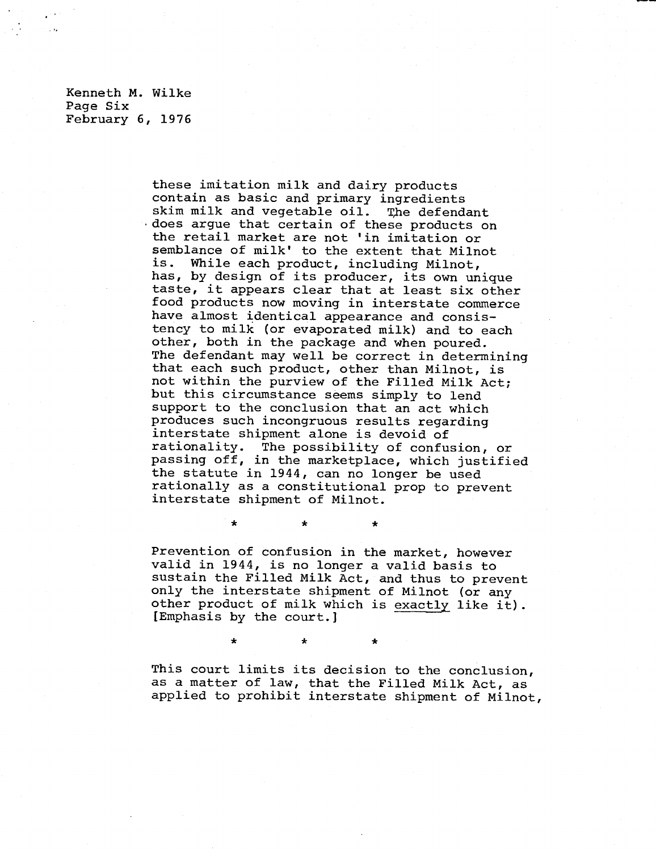Kenneth M. Wilke Page Six February 6, 1976

> these imitation milk and dairy products contain as basic and primary ingredients skim milk and vegetable oil. The defendant .does argue that certain of these products on the retail market are not 'in imitation or semblance of milk' to the extent that Milnot is. While each product, including Milnot, has, by design of its producer, its own unique taste, it appears clear that at least six other food products now moving in interstate commerce have almost identical appearance and consistency to milk (or evaporated milk) and to each other, both in the package and when poured. The defendant may well be correct in determining that each such product, other than Milnot, is not within the purview of the Filled Milk Act; but this circumstance seems simply to lend support to the conclusion that an act which produces such incongruous results regarding interstate shipment alone is devoid of rationality. The possibility of confusion, or passing off, in the marketplace, which justified the statute in 1944, can no longer be used rationally as a constitutional prop to prevent interstate shipment of Milnot.

> Prevention of confusion in the market, however valid in 1944, is no longer a valid basis to sustain the Filled Milk Act, and thus to prevent only the interstate shipment of Milnot (or any other product of milk which is exactly like it). [Emphasis by the court.]

> > ÷

÷

 $\star$ 

This court limits its decision to the conclusion, as a matter of law, that the Filled Milk Act, as applied to prohibit interstate shipment of Milnot,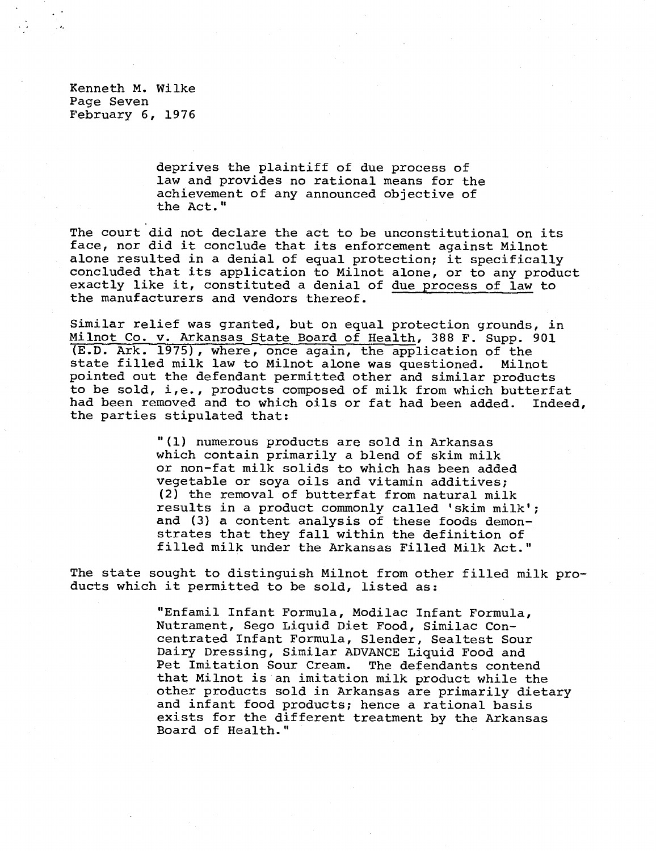Kenneth M. Wilke Page Seven February 6, 1976

> deprives the plaintiff of due process of law and provides no rational means for the achievement of any announced objective of the Act."

The court did not declare the act to be unconstitutional on its face, nor did it conclude that its enforcement against Milnot alone resulted in a denial of equal protection; it specifically concluded that its application to Milnot alone, or to any product exactly like it, constituted a denial of due process of law to the manufacturers and vendors thereof.

Similar relief was granted, but on equal protection grounds, in Milnot Co. v. Arkansas State Board of Health, 388 F. Supp. 901 (E.D. Ark. 1975), where, once again, the application of the state filled milk law to Milnot alone was questioned. Milnot pointed out the defendant permitted other and similar products to be sold, i,e., products composed of milk from which butterfat had been removed and to which oils or fat had been added. Indeed, the parties stipulated that:

> "(1) numerous products are sold in Arkansas which contain primarily a blend of skim milk or non-fat milk solids to which has been added vegetable or soya oils and vitamin additives; (2) the removal of butterfat from natural milk results in a product commonly called 'skim milk'; and (3) a content analysis of these foods demon strates that they fall within the definition of filled milk under the Arkansas Filled Milk Act."

The state sought to distinguish Milnot from other filled milk products which it permitted to be sold, listed as:

> "Enfamil Infant Formula, Modilac Infant Formula, Nutrament, Sego Liquid Diet Food, Similac Concentrated Infant Formula, Slender, Sealtest Sour Dairy Dressing, Similar ADVANCE Liquid Food and Pet Imitation Sour Cream. The defendants contend that Milnot is an imitation milk product while the other products sold in Arkansas are primarily dietary and infant food products; hence a rational basis exists for the different treatment by the Arkansas Board of Health."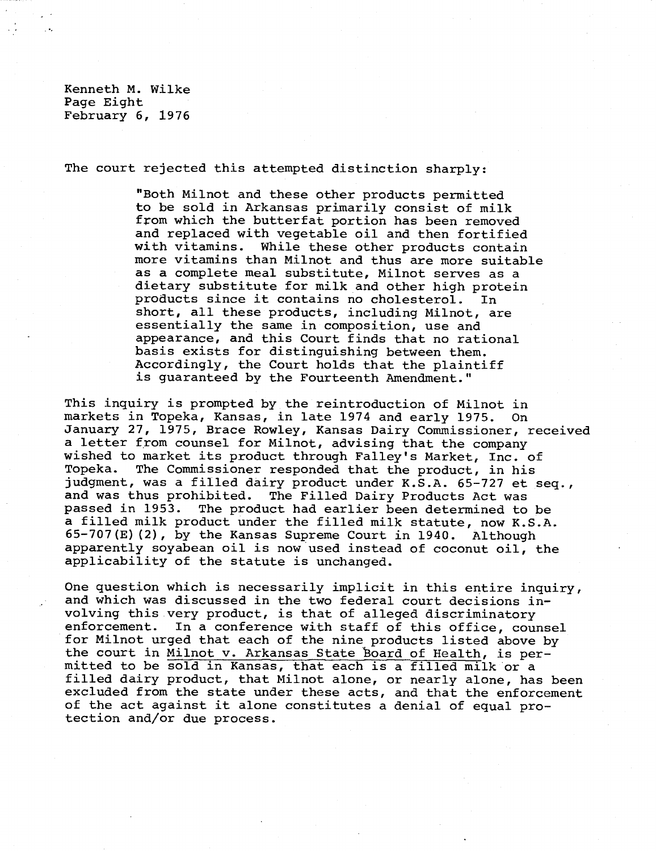Kenneth M. Wilke Page Eight February 6, 1976

The court rejected this attempted distinction sharply:

"Both Milnot and these other products permitted to be sold in Arkansas primarily consist of milk from which the butterfat portion has been removed and replaced with vegetable oil and then fortified with vitamins. While these other products contain more vitamins than Milnot and thus are more suitable as a complete meal substitute, Milnot serves as a dietary substitute for milk and other high protein products since it contains no cholesterol. In short, all these products, including Milnot, are essentially the same in composition, use and appearance, and this Court finds that no rational basis exists for distinguishing between them. Accordingly, the Court holds that the plaintiff is guaranteed by the Fourteenth Amendment."

This inquiry is prompted by the reintroduction of Milnot in markets in Topeka, Kansas, in late 1974 and early 1975. On January 27, 1975, Brace Rowley, Kansas Dairy Commissioner, received a letter from counsel for Milnot, advising that the company wished to market its product through Falley's Market, Inc. of Topeka. The Commissioner responded that the product, in his judgment, was a filled dairy product under K.S.A. 65-727 et seq., and was thus prohibited. The Filled Dairy Products Act was passed in 1953. The product had earlier been determined to be a filled milk product under the filled milk statute, now K.S.A. 65-707(E)(2), by the Kansas Supreme Court in 1940. Although apparently soyabean oil is now used instead of coconut oil, the applicability of the statute is unchanged.

One question which is necessarily implicit in this entire inquiry, and which was discussed in the two federal court decisions involving this very product, is that of alleged discriminatory enforcement. In a conference with staff of this office, counsel for Milnot urged that each of the nine products listed above by the court in Milnot v. Arkansas State board of Health, is permitted to be sold in Kansas, that each is a filled milk or a filled dairy product, that Milnot alone, or nearly alone, has been excluded from the state under these acts, and that the enforcement of the act against it alone constitutes a denial of equal protection and/or due process.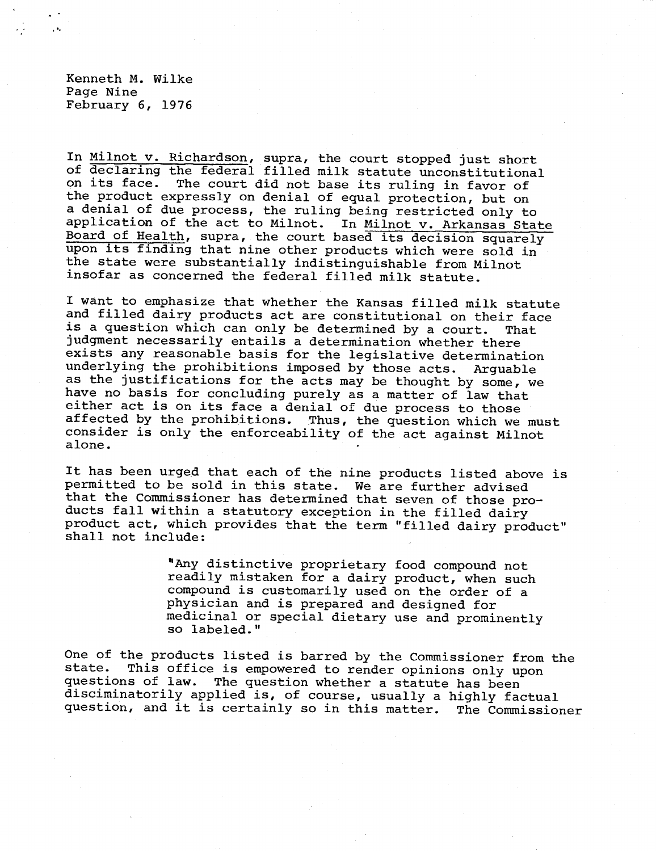Kenneth M. Wilke Page Nine February 6, 1976

 $, \bullet,$ 

In Milnot v. Richardson, supra, the court stopped just short of declaring the federal filled milk statute unconstitutional on its face. The court did not base its ruling in favor of the product expressly on denial of equal protection, but on a denial of due process, the ruling being restricted only to application of the act to Milnot. In Milnot v. Arkansas State Board of Health, supra, the court based its decision squarely upon its finding that nine other products which were sold in the state were substantially indistinguishable from Milnot insofar as concerned the federal filled milk statute.

I want to emphasize that whether the Kansas filled milk statute and filled dairy products act are constitutional on their face is a question which can only be determined by a court. That judgment necessarily entails a determination whether there exists any reasonable basis for the legislative determination underlying the prohibitions imposed by those acts. Arguable as the justifications for the acts may be thought by some, we have no basis for concluding purely as a matter of law that either act is on its face a denial of due process to those affected by the prohibitions. Thus, the question which we must consider is only the enforceability of the act against Milnot alone.

It has been urged that each of the nine products listed above is permitted to be sold in this state. We are further advised that the Commissioner has determined that seven of those products fall within a statutory exception in the filled dairy product act, which provides that the term "filled dairy product" shall not include:

> "Any distinctive proprietary food compound not readily mistaken for a dairy product, when such compound is customarily used on the order of a physician and is prepared and designed for medicinal or special dietary use and prominently so labeled."

One of the products listed is barred by the Commissioner from the state. This office is empowered to render opinions only upon questions of law. The question whether a statute has been disciminatorily applied is, of course, usually a highly factual question, and it is certainly so in this matter. The Commissioner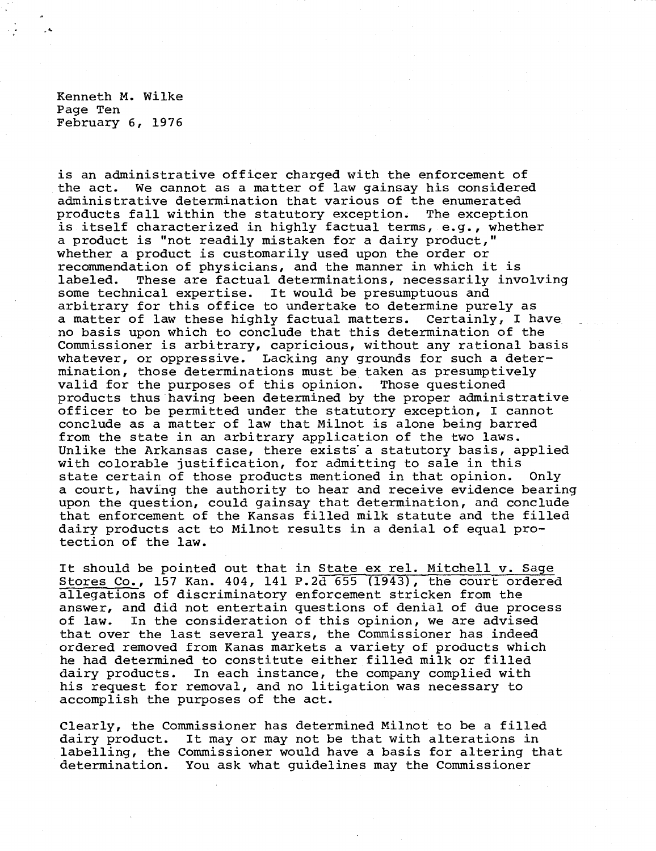Kenneth M. Wilke Page Ten February 6, 1976

is an administrative officer charged with the enforcement of the act. We cannot as a matter of law gainsay his considered administrative determination that various of the enumerated products fall within the statutory exception. The exception is itself characterized in highly factual terms, e.g., whether a product is "not readily mistaken for a dairy product," whether a product is customarily used upon the order or recommendation of physicians, and the manner in which it is labeled. These are factual determinations, necessarily involving some technical expertise. It would be presumptuous and arbitrary for this office to undertake to determine purely as a matter of law these highly factual matters. Certainly, I have no basis upon which to conclude that this determination of the Commissioner is arbitrary, capricious, without any rational basis whatever, or oppressive. Lacking any grounds for such a determination, those determinations must be taken as presumptively valid for the purposes of this opinion. Those questioned products thus having been determined by the proper administrative officer to be permitted under the statutory exception, I cannot conclude as a matter of law that Milnot is alone being barred from the state in an arbitrary application of the two laws. Unlike the Arkansas case, there exists a statutory basis, applied with colorable justification, for admitting to sale in this state certain of those products mentioned in that opinion. Only a court, having the authority to hear and receive evidence bearing upon the question, could gainsay that determination, and conclude that enforcement of the Kansas filled milk statute and the filled dairy products act to Milnot results in a denial of equal protection of the law.

It should be pointed out that in State ex rel. Mitchell v. Sage Stores Co.,157 Kan. 404, 141 P.2d 655 (1943), the court ordered allegations of discriminatory enforcement stricken from the answer, and did not entertain questions of denial of due process of law. In the consideration of this opinion, we are advised that over the last several years, the Commissioner has indeed ordered removed from Kanas markets a variety of products which he had determined to constitute either filled milk or filled dairy products. In each instance, the company complied with his request for removal, and no litigation was necessary to accomplish the purposes of the act.

Clearly, the Commissioner has determined Milnot to be a filled dairy product. It may or may not be that with alterations in labelling, the Commissioner would have a basis for altering that determination. You ask what guidelines may the Commissioner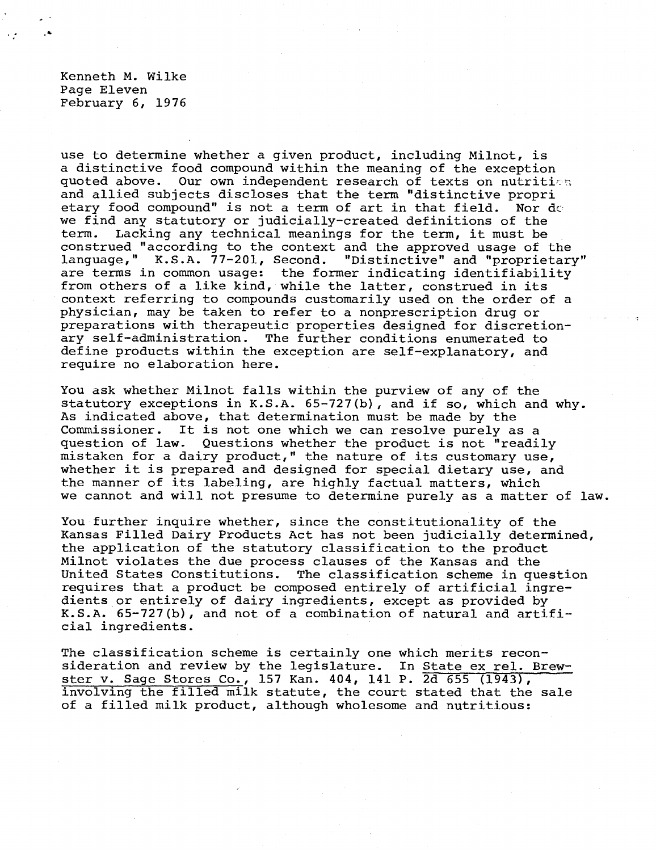Kenneth M. Wilke Page Eleven February 6, 1976

use to determine whether a given product, including Milnot, is a distinctive food compound within the meaning of the exception quoted above. Our own independent research of texts on nutrition and allied subjects discloses that the term "distinctive propri etary food compound" is not a term of art in that field. Nor de we find any statutory or judicially-created definitions of the term. Lacking any technical meanings for the term, it must be construed "according to the context and the approved usage of the language," K.S.A. 77-201, Second. "Distinctive" and "proprietary" are terms in common usage: the former indicating identifiability from others of a like kind, while the latter, construed in its context referring to compounds customarily used on the order of a physician, may be taken to refer to a nonprescription drug or preparations with therapeutic properties designed for discretionary self-administration. The further conditions enumerated to define products within the exception are self-explanatory, and require no elaboration here.

You ask whether Milnot falls within the purview of any of the statutory exceptions in K.S.A. 65-727(b), and if so, which and why. As indicated above, that determination must be made by the Commissioner. It is not one which we can resolve purely as a question of law. Questions whether the product is not "readily mistaken for a dairy product," the nature of its customary use, whether it is prepared and designed for special dietary use, and the manner of its labeling, are highly factual matters, which we cannot and will not presume to determine purely as a matter of law.

You further inquire whether, since the constitutionality of the Kansas Filled Dairy Products Act has not been judicially determined, the application of the statutory classification to the product Milnot violates the due process clauses of the Kansas and the United States Constitutions. The classification scheme in que The classification scheme in question requires that a product be composed entirely of artificial ingredients or entirely of dairy ingredients, except as provided by K.S.A. 65-727(b), and not of a combination of natural and artificial ingredients.

The classification scheme is certainly one which merits reconsideration and review by the legislature. In State ex rel. Brewster v. Sage Stores Co., 157 Kan. 404, 141 P. 2d 655 (1943), involving the filled milk statute, the court stated that the sale of a filled milk product, although wholesome and nutritious: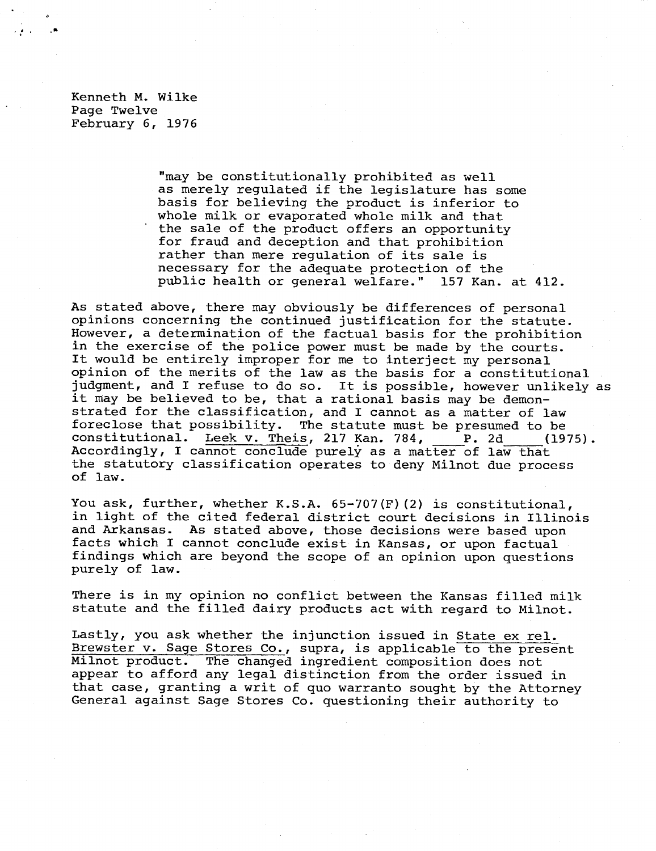Kenneth M. Wilke Page Twelve February 6, 1976

> "may be constitutionally prohibited as well as merely regulated if the legislature has some basis for believing the product is inferior to whole milk or evaporated whole milk and that the sale of the product offers an opportunity for fraud and deception and that prohibition rather than mere regulation of its sale is necessary for the adequate protection of the public health or general welfare." 157 Kan. at 412.

As stated above, there may obviously be differences of personal opinions concerning the continued justification for the statute. However, a determination of the factual basis for the prohibition in the exercise of the police power must be made by the courts. It would be entirely improper for me to interject my personal opinion of the merits of the law as the basis for a constitutional judgment, and I refuse to do so. It is possible, however unlikely as it may be believed to be, that a rational basis may be demonstrated for the classification, and I cannot as a matter of law<br>foreclose that possibility. The statute must be presumed to be The statute must be presumed to be constitutional. Leek v. Theis, 217 Kan. 784, P. 2d (1975). Accordingly, I cannot conclude purely as a matter of law that the statutory classification operates to deny Milnot due process of law.

You ask, further, whether K.S.A. 65-707(F)(2) is constitutional, in light of the cited federal district court decisions in Illinois and Arkansas. As stated above, those decisions were based upon facts which I cannot conclude exist in Kansas, or upon factual findings which are beyond the scope of an opinion upon questions purely of law.

There is in my opinion no conflict between the Kansas filled milk statute and the filled dairy products act with regard to Milnot.

Lastly, you ask whether the injunction issued in State ex rel. Brewster v. Sage Stores Co., supra, is applicable to the present Milnot product. The changed ingredient composition does not appear to afford any legal distinction from the order issued in that case, granting a writ of quo warranto sought by the Attorney General against Sage Stores Co. questioning their authority to